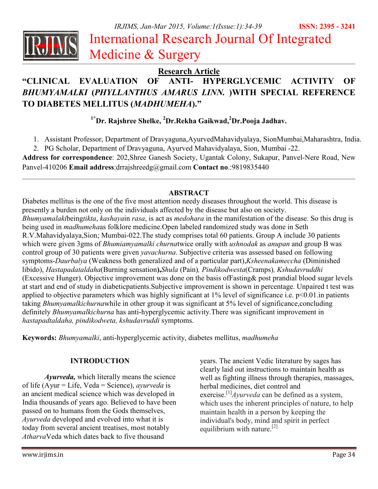

# International Research Journal Of Integrated Medicine & Surgery

**Research Article**

# **"CLINICAL EVALUATION OF ANTI- HYPERGLYCEMIC ACTIVITY OF**  *BHUMYAMALKI* **(***PHYLLANTHUS AMARUS LINN.* **)WITH SPECIAL REFERENCE TO DIABETES MELLITUS (***MADHUMEHA***)."**

**1\*Dr. Rajshree Shelke, <sup>2</sup>Dr.Rekha Gaikwad,<sup>2</sup>Dr.Pooja Jadhav.** 

- 1. Assistant Professor, Department of Dravyaguna,AyurvedMahavidyalaya, SionMumbai,Maharashtra, India.
- 2. PG Scholar, Department of Dravyaguna, Ayurved Mahavidyalaya, Sion, Mumbai -22.

**Address for correspondence**: 202,Shree Ganesh Society, Ugantak Colony, Sukapur, Panvel-Nere Road, New Panvel-410206 **Email address**:drrajshreedg@gmail.com **Contact no**.:9819835440

# **ABSTRACT**

Diabetes mellitus is the one of the five most attention needy diseases throughout the world. This disease is presently a burden not only on the individuals affected by the disease but also on society. *Bhumyamalaki*being*tikta*, *kashaya*in *rasa*, is act as *medohara* in the manifestation of the disease. So this drug is being used in *madhumeha*as folklore medicine.Open labeled randomized study was done in Seth R.V.Mahavidyalaya,Sion; Mumbai-022.The study comprises total 60 patients. Group A include 30 patients which were given 3gms of *Bhumiamyamalki churna*twice orally with *ushnodak* as *anupan* and group B was control group of 30 patients were given *yavachurna*. Subjective criteria was assessed based on following symptoms-*Daurbalya* (Weakness both generalized and of a particular part),*Ksheenakameccha* (Diminished libido), *Hastapadataldaha*(Burning sensation**),***Shula* (Pain)*, Pindikodwesta*(Cramps)*, Kshudavruddhi*  (Excessive Hunger). Objective improvement was done on the basis ofFasting& post prandial blood sugar levels at start and end of study in diabeticpatients.Subjective improvement is shown in percentage. Unpaired t test was applied to objective parameters which was highly significant at 1% level of significance i.e. p<0.01.in patients taking *Bhumyamalkichurna*while in other group it was significant at 5% level of significance,concluding definitely *Bhumyamalkichurna* has anti-hyperglycemic activity.There was significant improvement in *hastapadtaldaha, pindikodweta, kshudavruddi* symptoms.

**Keywords:** *Bhumyamalki*, anti-hyperglycemic activity, diabetes mellitus, *madhumeha* 

# **INTRODUCTION**

*Ayurveda,* which literally means the science of life (Ayur = Life, Veda = Science), *ayurveda* is an ancient medical science which was developed in India thousands of years ago. Believed to have been passed on to humans from the Gods themselves, *Ayurveda* developed and evolved into what it is today from several ancient treatises, most notably *Atharva*Veda which dates back to five thousand

www.irjims.in Page 34

years. The ancient Vedic literature by sages has clearly laid out instructions to maintain health as well as fighting illness through therapies, massages, herbal medicines, diet control and exercise.[1]*Ayurveda* can be defined as a system, which uses the inherent principles of nature, to help maintain health in a person by keeping the individual's body, mind and spirit in perfect equilibrium with nature.[2]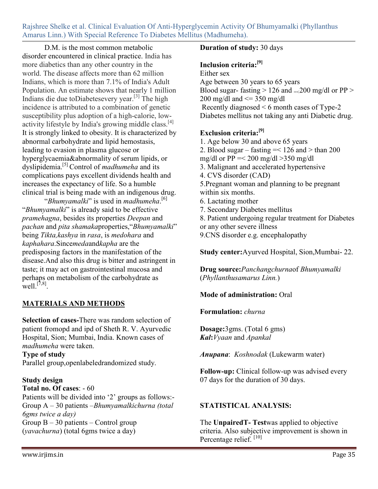Rajshree Shelke et al. Clinical Evaluation Of Anti-Hyperglycemin Activity Of Bhumyamalki (Phyllanthus Amarus Linn.) With Special Reference To Diabetes Mellitus (Madhumeha).

 D.M. is the most common metabolic disorder encountered in clinical practice. India has more diabetics than any other country in the world. The disease affects more than 62 million Indians, which is more than 7.1% of India's Adult Population. An estimate shows that nearly 1 million Indians die due toDiabetesevery year.[3] The high incidence is attributed to a combination of genetic susceptibility plus adoption of a high-calorie, lowactivity lifestyle by India's growing middle class.<sup>[4]</sup> It is strongly linked to obesity. It is characterized by abnormal carbohydrate and lipid hemostasis, leading to evasion in plasma glucose or hyperglycaemia&abnormality of serum lipids, or dyslipidemia.[5] Control of *madhumeha* and its complications pays excellent dividends health and increases the expectancy of life. So a humble clinical trial is being made with an indigenous drug.

 "*Bhumyamalki*" is used in *madhumeha*. [6] "*Bhumyamalki*" is already said to be effective *pramehagna*, besides its properties *Deepan* and *pachan* and *pita shamaka*properties,"*Bhumyamalki*" being *Tikta,kashya* in *rasa*, is *medohara* and *kaphahara*.Since*meda*and*kapha* are the predisposing factors in the manifestation of the disease.And also this drug is bitter and astringent in taste; it may act on gastrointestinal mucosa and perhaps on metabolism of the carbohydrate as well.<sup>[7,8]</sup>.

# **MATERIALS AND METHODS**

**Selection of cases-**There was random selection of patient fromopd and ipd of Sheth R. V. Ayurvedic Hospital, Sion; Mumbai, India. Known cases of *madhumeha* were taken.

#### **Type of study**

Parallel group,openlabeledrandomized study.

#### **Study design**

**Total no. Of cases**: - 60

Patients will be divided into '2' groups as follows:- Group A – 30 patients –*Bhumyamalkichurna (total 6gms twice a day)* Group  $B - 30$  patients – Control group (*yavachurna*) (total 6gms twice a day)

#### **Duration of study:** 30 days

#### **Inclusion criteria:[9]**

Either sex Age between 30 years to 65 years Blood sugar-fasting  $> 126$  and  $=200$  mg/dl or PP  $>$ 200 mg/dl and  $\leq$  350 mg/dl Recently diagnosed < 6 month cases of Type-2 Diabetes mellitus not taking any anti Diabetic drug.

# **Exclusion criteria:[9]**

1. Age below 30 and above 65 years 2. Blood sugar – fasting  $=< 126$  and  $>$  than 200 mg/dl or  $PP = < 200$  mg/dl  $>350$  mg/dl 3. Malignant and accelerated hypertensive 4. CVS disorder (CAD) 5.Pregnant woman and planning to be pregnant within six months. 6. Lactating mother 7. Secondary Diabetes mellitus 8. Patient undergoing regular treatment for Diabetes or any other severe illness 9.CNS disorder e.g. encephalopathy

#### **Study center:**Ayurved Hospital, Sion,Mumbai- 22.

**Drug source:***Panchangchurna*of *Bhumyamalki* (*Phyllanthusamarus Linn.*)

#### **Mode of administration:** Oral

#### **Formulation:** *churna*

**Dosage:**3gms. (Total 6 gms) *Kal***:***Vyaan* and *Apankal* 

*Anupana*: *Koshnodak* (Lukewarm water)

**Follow-up:** Clinical follow-up was advised every 07 days for the duration of 30 days.

#### **STATISTICAL ANALYSIS:**

The **UnpairedT- Test**was applied to objective criteria. Also subjective improvement is shown in Percentage relief.<sup>[10]</sup>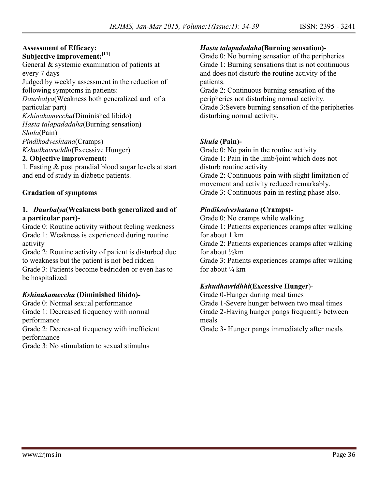#### **Assessment of Efficacy: Subjective improvement:[11]**

General & systemic examination of patients at every 7 days Judged by weekly assessment in the reduction of following symptoms in patients: *Daurbalya*(Weakness both generalized and of a particular part)

*Kshinakameccha*(Diminished libido) *Hasta talapadadaha*(Burning sensation**)** *Shula*(Pain) *Pindikodveshtana*(Cramps)

*Kshudhavruddhi*(Excessive Hunger)

#### **2. Objective improvement:**

1. Fasting & post prandial blood sugar levels at start and end of study in diabetic patients.

# **Gradation of symptoms**

#### **1.** *Daurbalya***(Weakness both generalized and of a particular part)-**

Grade 0: Routine activity without feeling weakness Grade 1: Weakness is experienced during routine activity

Grade 2: Routine activity of patient is disturbed due to weakness but the patient is not bed ridden

Grade 3: Patients become bedridden or even has to be hospitalized

# *Kshinakameccha* **(Diminished libido)-**

Grade 0: Normal sexual performance Grade 1: Decreased frequency with normal

performance Grade 2: Decreased frequency with inefficient

performance

Grade 3: No stimulation to sexual stimulus

#### *Hasta talapadadaha***(Burning sensation)-**

Grade 0: No burning sensation of the peripheries Grade 1: Burning sensations that is not continuous and does not disturb the routine activity of the patients.

Grade 2: Continuous burning sensation of the peripheries not disturbing normal activity. Grade 3:Severe burning sensation of the peripheries disturbing normal activity.

#### *Shula* **(Pain)-**

Grade 0: No pain in the routine activity Grade 1: Pain in the limb/joint which does not disturb routine activity Grade 2: Continuous pain with slight limitation of movement and activity reduced remarkably. Grade 3: Continuous pain in resting phase also.

#### *Pindikodveshatana* **(Cramps)-**

Grade 0: No cramps while walking Grade 1: Patients experiences cramps after walking for about 1 km Grade 2: Patients experiences cramps after walking for about ½km Grade 3: Patients experiences cramps after walking for about  $\frac{1}{4}$  km

# *Kshudhavridhhi***(Excessive Hunger**)-

Grade 0-Hunger during meal times Grade 1-Severe hunger between two meal times Grade 2-Having hunger pangs frequently between meals Grade 3- Hunger pangs immediately after meals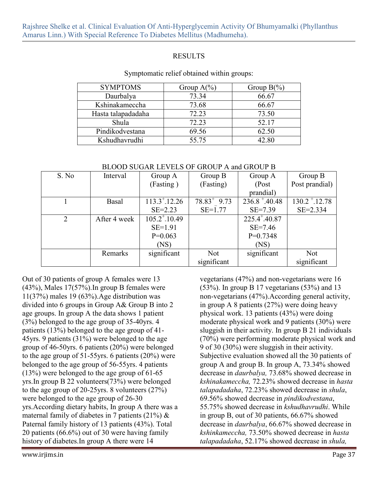# RESULTS

| <b>SYMPTOMS</b>    | Group $A(\%)$ | Group $B(\%)$ |  |
|--------------------|---------------|---------------|--|
| Daurbalya          | 73.34         | 66.67         |  |
| Kshinakameccha     | 73.68         | 66.67         |  |
| Hasta talapadadaha | 72.23         | 73.50         |  |
| Shula              | 72.23         | 52.17         |  |
| Pindikodvestana    | 69.56         | 62.50         |  |
| Kshudhavrudhi      | 55.75         | 42.80         |  |

#### Symptomatic relief obtained within groups:

| BLOOD SUGAR LEVELS OF GROUP A and GROUP B |
|-------------------------------------------|
|                                           |

| S. No          | Interval     | Group A                  | Group B          | Group A                  | Group B                      |
|----------------|--------------|--------------------------|------------------|--------------------------|------------------------------|
|                |              | (Fasting)                | (Fasting)        | (Post                    | Post prandial)               |
|                |              |                          |                  | prandial)                |                              |
|                | Basal        | $113.3^{\text{*}}.12.26$ | $78.83^{+}$ 9.73 | $236.8^{\text{+}}.40.48$ | $130.2$ <sup>+</sup> $12.78$ |
|                |              | $SE = 2.23$              | $SE=1.77$        | $SE = 7.39$              | $SE = 2.334$                 |
| $\overline{2}$ | After 4 week | $105.2^{\text{+}}.10.49$ |                  | $225.4^{\text{*}}40.87$  |                              |
|                |              | $SE=1.91$                |                  | $SE = 7.46$              |                              |
|                |              | $P=0.063$                |                  | $P=0.7348$               |                              |
|                |              | (NS)                     |                  | (NS)                     |                              |
|                | Remarks      | significant              | <b>Not</b>       | significant              | <b>Not</b>                   |
|                |              |                          | significant      |                          | significant                  |

Out of 30 patients of group A females were 13 (43%), Males 17(57%).In group B females were 11(37%) males 19 (63%).Age distribution was divided into 6 groups in Group A& Group B into 2 age groups. In group A the data shows 1 patient (3%) belonged to the age group of 35-40yrs. 4 patients (13%) belonged to the age group of 41- 45yrs. 9 patients (31%) were belonged to the age group of 46-50yrs. 6 patients (20%) were belonged to the age group of 51-55yrs. 6 patients (20%) were belonged to the age group of 56-55yrs. 4 patients (13%) were belonged to the age group of 61-65 yrs.In group B 22 volunteers(73%) were belonged to the age group of 20-25yrs. 8 volunteers (27%) were belonged to the age group of 26-30 yrs.According dietary habits, In group A there was a maternal family of diabetes in 7 patients (21%)  $\&$ Paternal family history of 13 patients (43%). Total 20 patients (66.6%) out of 30 were having family history of diabetes.In group A there were 14

vegetarians (47%) and non-vegetarians were 16 (53%). In group B 17 vegetarians (53%) and 13 non-vegetarians (47%).According general activity, in group A 8 patients (27%) were doing heavy physical work. 13 patients (43%) were doing moderate physical work and 9 patients (30%) were sluggish in their activity. In group B 21 individuals (70%) were performing moderate physical work and 9 of 30 (30%) were sluggish in their activity. Subjective evaluation showed all the 30 patients of group A and group B. In group A, 73.34% showed decrease in *daurbalya,* 73.68% showed decrease in *kshinakameccha,* 72.23% showed decrease in *hasta talapadadaha*, 72.23% showed decrease in *shula*, 69.56% showed decrease in *pindikodvestana*, 55.75% showed decrease in *kshudhavrudhi*. While in group B, out of 30 patients, 66.67% showed decrease in *daurbalya*, 66.67% showed decrease in *kshinkameccha,* 73.50% showed decrease in *hasta talapadadaha*, 52.17% showed decrease in *shula,*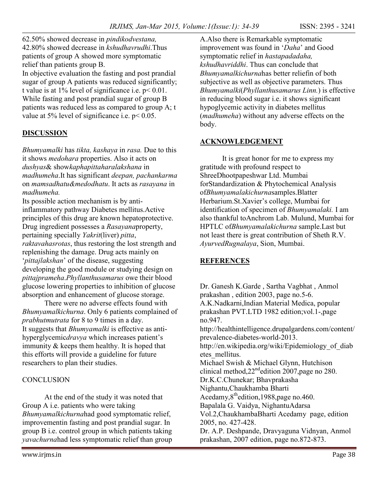62.50% showed decrease in *pindikodvestana,* 42.80% showed decrease in *kshudhavrudhi*.Thus patients of group A showed more symptomatic relief than patients group B. In objective evaluation the fasting and post prandial sugar of group A patients was reduced significantly; t value is at 1% level of significance i.e. p< 0.01. While fasting and post prandial sugar of group B patients was reduced less as compared to group A; t value at 5% level of significance i.e. p< 0.05.

#### **DISCUSSION**

*Bhumyamalki* has *tikta, kashaya* in *rasa.* Due to this it shows *medohara* properties. Also it acts on *dushyas*& show*kaphapittaharalakshana* in *madhumeha*.It has significant *deepan, pachankarma* on *mamsadhatu&medodhatu*. It acts as *rasayana* in *madhumeha.*

Its possible action mechanism is by antiinflammatory pathway Diabetes mellitus.Active principles of this drug are known hepatoprotective. Drug ingredient possesses a *Rasayana*property, pertaining specially *Yakrit*(liver) *pitta*, *raktavahasrotas*, thus restoring the lost strength and replenishing the damage. Drug acts mainly on '*pittajlakshan*' of the disease, suggesting developing the good module or studying design on *pittajprameha*.*Phyllanthusamarus* owe their blood glucose lowering properties to inhibition of glucose absorption and enhancement of glucose storage.

 There were no adverse effects found with *Bhumyamalkichurna*. Only 6 patients complained of *prabhutmutrata* for 8 to 9 times in a day. It suggests that *Bhumyamalki* is effective as antihyperglycemic*dravya* which increases patient's immunity & keeps them healthy. It is hoped that this efforts will provide a guideline for future researchers to plan their studies.

#### **CONCLUSION**

 At the end of the study it was noted that Group A i.e. patients who were taking *Bhumyamalkichurna*had good symptomatic relief, improvementin fasting and post prandial sugar. In group B i.e. control group in which patients taking *yavachurna*had less symptomatic relief than group

A.Also there is Remarkable symptomatic improvement was found in '*Daha*' and Good symptomatic relief in *hastapadadaha, kshudhavriddhi*. Thus can conclude that *Bhumyamalkichurna*has better reliefin of both subjective as well as objective parameters. Thus *Bhumyamalki*(*Phyllanthusamarus Linn.*) is effective in reducing blood sugar i.e. it shows significant hypoglycemic activity in diabetes mellitus (*madhumeha*) without any adverse effects on the body.

#### **ACKNOWLEDGEMENT**

 It is great honor for me to express my gratitude with profound respect to ShreeDhootpapeshwar Ltd. Mumbai forStandardization & Phytochemical Analysis of*Bhumyamalakichurna*samples.Blatter Herbarium.St.Xavier's college, Mumbai for identification of specimen of *Bhumyamalaki.* I am also thankful toAnchrom Lab. Mulund, Mumbai for HPTLC of*Bhumyamalakichurna* sample.Last but not least there is great contribution of Sheth R.V. *AyurvedRugnalaya*, Sion, Mumbai.

#### **REFERENCES**

Dr. Ganesh K.Garde , Sartha Vagbhat , Anmol prakashan , edition 2003, page no.5-6. A.K.Nadkarni,Indian Material Medica, popular prakashan PVT.LTD 1982 edition;vol.1-,page no.947. http://healthintelligence.drupalgardens.com/content/ prevalence-diabetes-world-2013. http://en.wikipedia.org/wiki/Epidemiology\_of\_diab etes\_mellitus. Michael Swish & Michael Glynn, Hutchison clinical method,  $22<sup>nd</sup>$ edition 2007, page no 280. Dr.K.C.Chunekar; Bhavprakasha Nighantu,Chaukhamba Bharti Acedamy, $8<sup>th</sup>$ edition, 1988, page no.460. Bapalala G. Vaidya, NighantuAdarsa Vol.2,ChaukhambaBharti Acedamy page, edition 2005, no. 427-428. Dr. A.P. Deshpande, Dravyaguna Vidnyan, Anmol prakashan, 2007 edition, page no.872-873.